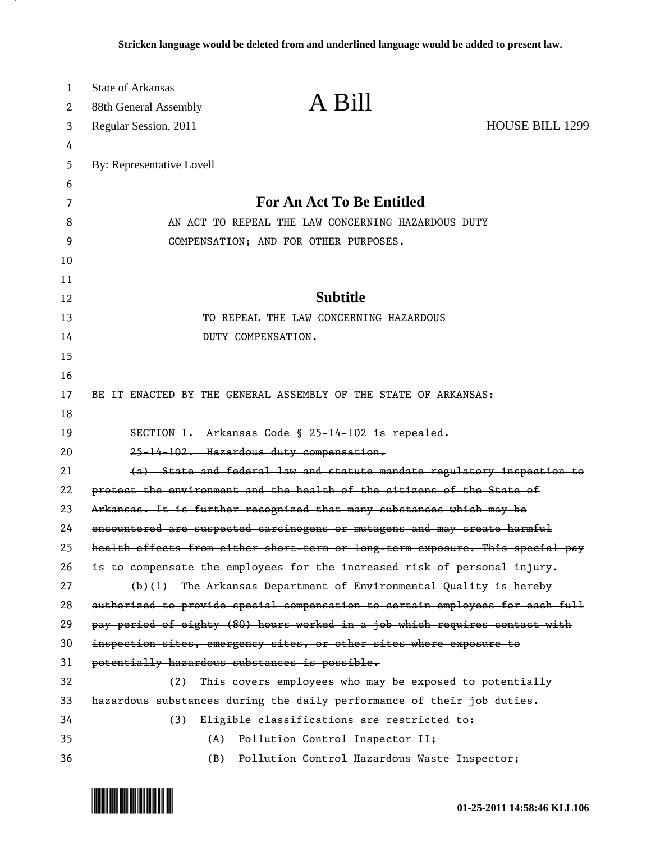| 1  | <b>State of Arkansas</b>                           |                                                                               |                        |
|----|----------------------------------------------------|-------------------------------------------------------------------------------|------------------------|
| 2  | 88th General Assembly                              | A Bill                                                                        |                        |
| 3  | Regular Session, 2011                              |                                                                               | <b>HOUSE BILL 1299</b> |
| 4  |                                                    |                                                                               |                        |
| 5  | By: Representative Lovell                          |                                                                               |                        |
| 6  |                                                    |                                                                               |                        |
| 7  | <b>For An Act To Be Entitled</b>                   |                                                                               |                        |
| 8  | AN ACT TO REPEAL THE LAW CONCERNING HAZARDOUS DUTY |                                                                               |                        |
| 9  | COMPENSATION; AND FOR OTHER PURPOSES.              |                                                                               |                        |
| 10 |                                                    |                                                                               |                        |
| 11 |                                                    |                                                                               |                        |
| 12 |                                                    | <b>Subtitle</b>                                                               |                        |
| 13 |                                                    | TO REPEAL THE LAW CONCERNING HAZARDOUS                                        |                        |
| 14 |                                                    | DUTY COMPENSATION.                                                            |                        |
| 15 |                                                    |                                                                               |                        |
| 16 |                                                    |                                                                               |                        |
| 17 |                                                    | BE IT ENACTED BY THE GENERAL ASSEMBLY OF THE STATE OF ARKANSAS:               |                        |
| 18 |                                                    |                                                                               |                        |
| 19 |                                                    | SECTION 1. Arkansas Code § 25-14-102 is repealed.                             |                        |
| 20 |                                                    | 25-14-102. Hazardous duty compensation.                                       |                        |
| 21 |                                                    | (a) State and federal law and statute mandate regulatory inspection to        |                        |
| 22 |                                                    | protect the environment and the health of the citizens of the State of        |                        |
| 23 |                                                    | Arkansas. It is further recognized that many substances which may be          |                        |
| 24 |                                                    | encountered are suspected carcinogens or mutagens and may create harmful      |                        |
| 25 |                                                    | health effects from either short-term or long-term exposure. This special pay |                        |
| 26 |                                                    | is to compensate the employees for the increased risk of personal injury.     |                        |
| 27 |                                                    | (b)(1) The Arkansas Department of Environmental Quality is hereby             |                        |
| 28 |                                                    | authorized to provide special compensation to certain employees for each full |                        |
| 29 |                                                    | pay period of eighty (80) hours worked in a job which requires contact with   |                        |
| 30 |                                                    | inspection sites, emergency sites, or other sites where exposure to           |                        |
| 31 | potentially hazardous substances is possible.      |                                                                               |                        |
| 32 |                                                    | (2) This covers employees who may be exposed to potentially                   |                        |
| 33 |                                                    | hazardous substances during the daily performance of their job duties.        |                        |
| 34 |                                                    | (3) Eligible classifications are restricted to:                               |                        |
| 35 |                                                    | (A) Pollution Control Inspector II;                                           |                        |
| 36 |                                                    | (B) Pollution Control Hazardous Waste Inspector;                              |                        |



.